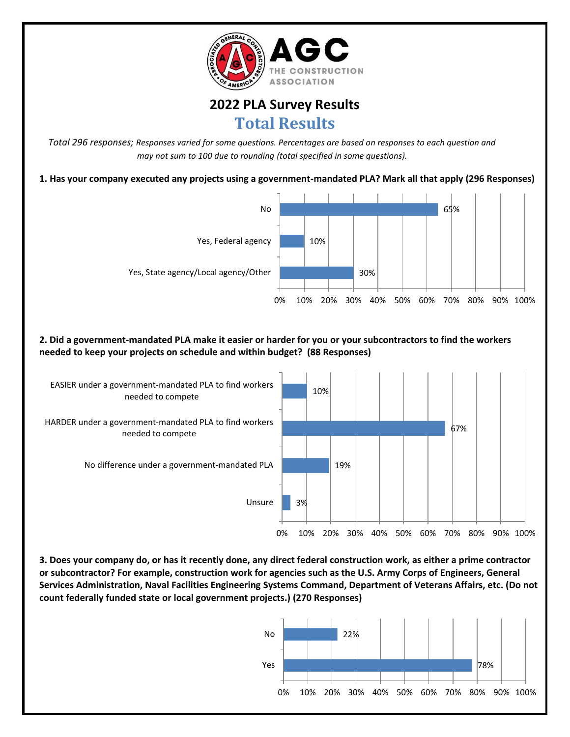

## **2022 PLA Survey Results Total Results**

*Total 296 responses; Responses varied for some questions. Percentages are based on responses to each question and may not sum to 100 due to rounding (total specified in some questions).*

**1. Has your company executed any projects using a government-mandated PLA? Mark all that apply (296 Responses)**



**2. Did a government-mandated PLA make it easier or harder for you or your subcontractors to find the workers needed to keep your projects on schedule and within budget? (88 Responses)**



**3. Does your company do, or has it recently done, any direct federal construction work, as either a prime contractor or subcontractor? For example, construction work for agencies such as the U.S. Army Corps of Engineers, General Services Administration, Naval Facilities Engineering Systems Command, Department of Veterans Affairs, etc. (Do not count federally funded state or local government projects.) (270 Responses)**

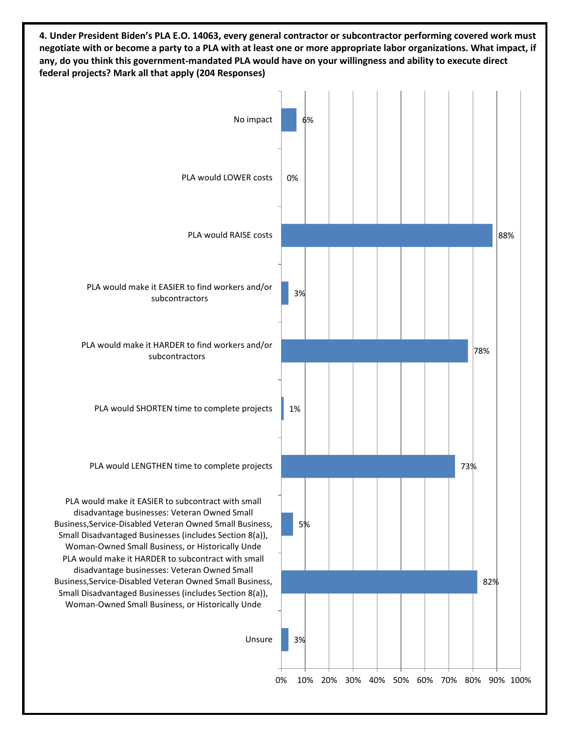**4. Under President Biden's PLA E.O. 14063, every general contractor or subcontractor performing covered work must negotiate with or become a party to a PLA with at least one or more appropriate labor organizations. What impact, if any, do you think this government-mandated PLA would have on your willingness and ability to execute direct federal projects? Mark all that apply (204 Responses)**

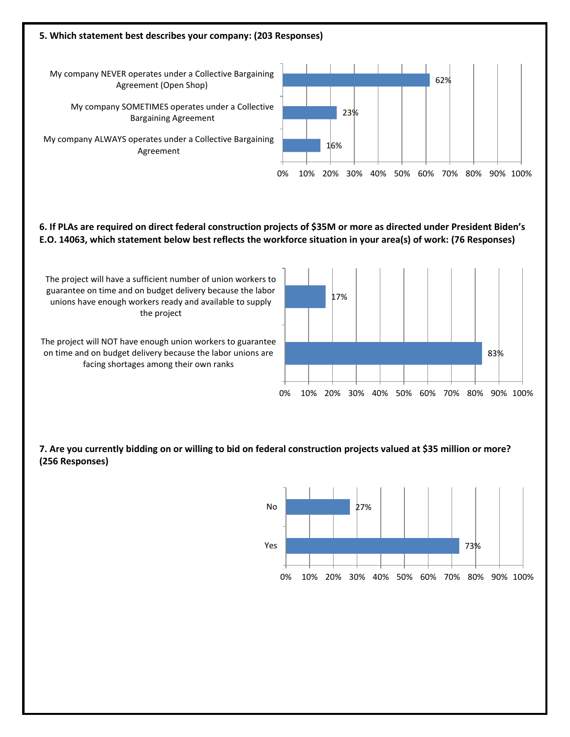

**6. If PLAs are required on direct federal construction projects of \$35M or more as directed under President Biden's E.O. 14063, which statement below best reflects the workforce situation in your area(s) of work: (76 Responses)**

The project will have a sufficient number of union workers to guarantee on time and on budget delivery because the labor unions have enough workers ready and available to supply the project

The project will NOT have enough union workers to guarantee on time and on budget delivery because the labor unions are facing shortages among their own ranks



**7. Are you currently bidding on or willing to bid on federal construction projects valued at \$35 million or more? (256 Responses)**